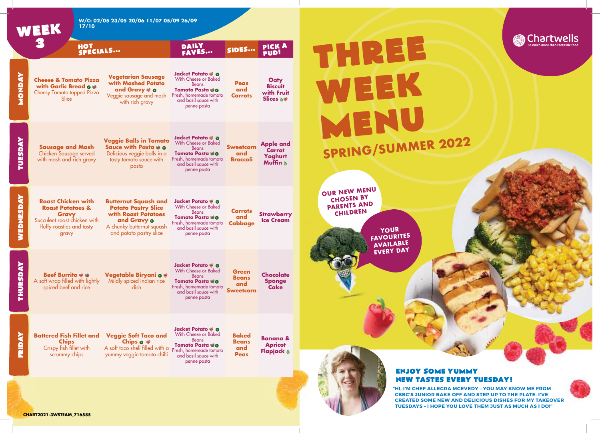

**@Chartwells** 

**CHART2021-3WSTEAM\_716585**